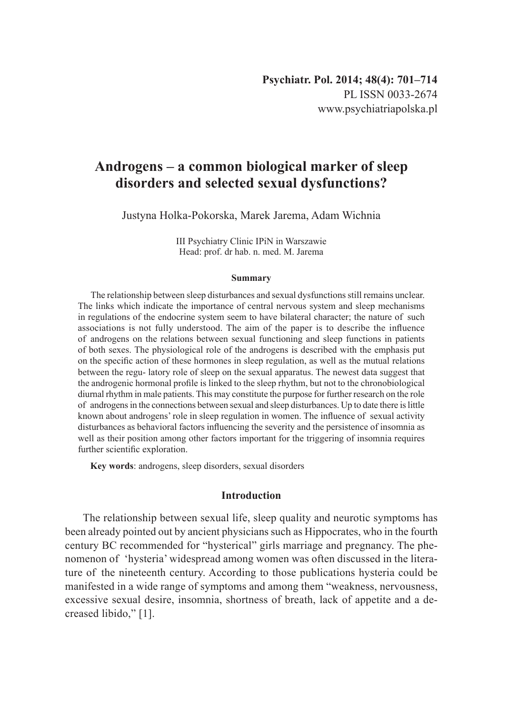# **Androgens – a common biological marker of sleep disorders and selected sexual dysfunctions?**

Justyna Holka-Pokorska, Marek Jarema, Adam Wichnia

III Psychiatry Clinic IPiN in Warszawie Head: prof. dr hab. n. med. M. Jarema

#### **Summary**

The relationship between sleep disturbances and sexual dysfunctions still remains unclear. The links which indicate the importance of central nervous system and sleep mechanisms in regulations of the endocrine system seem to have bilateral character; the nature of such associations is not fully understood. The aim of the paper is to describe the influence of androgens on the relations between sexual functioning and sleep functions in patients of both sexes. The physiological role of the androgens is described with the emphasis put on the specific action of these hormones in sleep regulation, as well as the mutual relations between the regu- latory role of sleep on the sexual apparatus. The newest data suggest that the androgenic hormonal profile is linked to the sleep rhythm, but not to the chronobiological diurnal rhythm in male patients. This may constitute the purpose for further research on the role of androgens in the connections between sexual and sleep disturbances. Up to date there is little known about androgens' role in sleep regulation in women. The influence of sexual activity disturbances as behavioral factors influencing the severity and the persistence of insomnia as well as their position among other factors important for the triggering of insomnia requires further scientific exploration.

**Key words**: androgens, sleep disorders, sexual disorders

### **Introduction**

The relationship between sexual life, sleep quality and neurotic symptoms has been already pointed out by ancient physicians such as Hippocrates, who in the fourth century BC recommended for "hysterical" girls marriage and pregnancy. The phenomenon of 'hysteria' widespread among women was often discussed in the literature of the nineteenth century. According to those publications hysteria could be manifested in a wide range of symptoms and among them "weakness, nervousness, excessive sexual desire, insomnia, shortness of breath, lack of appetite and a decreased libido," [1].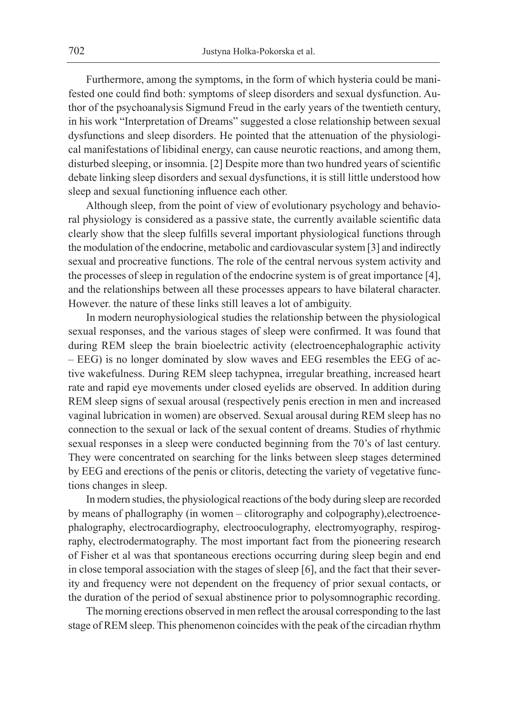Furthermore, among the symptoms, in the form of which hysteria could be manifested one could find both: symptoms of sleep disorders and sexual dysfunction. Author of the psychoanalysis Sigmund Freud in the early years of the twentieth century, in his work "Interpretation of Dreams" suggested a close relationship between sexual dysfunctions and sleep disorders. He pointed that the attenuation of the physiological manifestations of libidinal energy, can cause neurotic reactions, and among them, disturbed sleeping, or insomnia. [2] Despite more than two hundred years of scientific debate linking sleep disorders and sexual dysfunctions, it is still little understood how sleep and sexual functioning influence each other.

Although sleep, from the point of view of evolutionary psychology and behavioral physiology is considered as a passive state, the currently available scientific data clearly show that the sleep fulfills several important physiological functions through the modulation of the endocrine, metabolic and cardiovascular system [3] and indirectly sexual and procreative functions. The role of the central nervous system activity and the processes of sleep in regulation of the endocrine system is of great importance [4], and the relationships between all these processes appears to have bilateral character. However. the nature of these links still leaves a lot of ambiguity.

In modern neurophysiological studies the relationship between the physiological sexual responses, and the various stages of sleep were confirmed. It was found that during REM sleep the brain bioelectric activity (electroencephalographic activity – EEG) is no longer dominated by slow waves and EEG resembles the EEG of active wakefulness. During REM sleep tachypnea, irregular breathing, increased heart rate and rapid eye movements under closed eyelids are observed. In addition during REM sleep signs of sexual arousal (respectively penis erection in men and increased vaginal lubrication in women) are observed. Sexual arousal during REM sleep has no connection to the sexual or lack of the sexual content of dreams. Studies of rhythmic sexual responses in a sleep were conducted beginning from the 70's of last century. They were concentrated on searching for the links between sleep stages determined by EEG and erections of the penis or clitoris, detecting the variety of vegetative functions changes in sleep.

In modern studies, the physiological reactions of the body during sleep are recorded by means of phallography (in women – clitorography and colpography),electroencephalography, electrocardiography, electrooculography, electromyography, respirography, electrodermatography. The most important fact from the pioneering research of Fisher et al was that spontaneous erections occurring during sleep begin and end in close temporal association with the stages of sleep [6], and the fact that their severity and frequency were not dependent on the frequency of prior sexual contacts, or the duration of the period of sexual abstinence prior to polysomnographic recording.

The morning erections observed in men reflect the arousal corresponding to the last stage of REM sleep. This phenomenon coincides with the peak of the circadian rhythm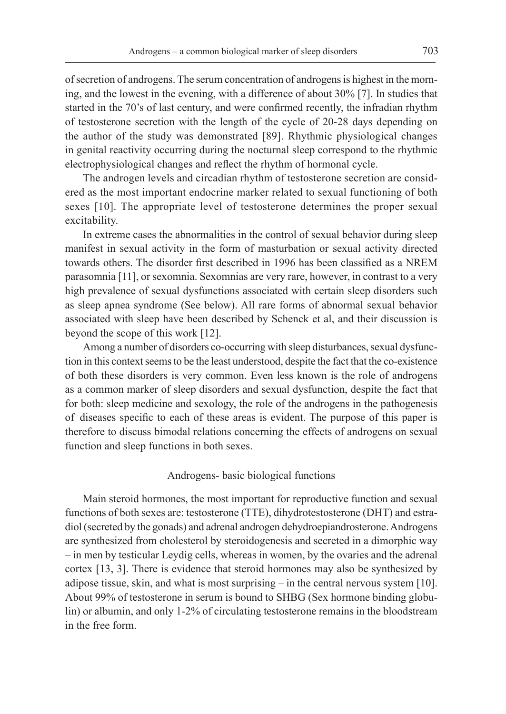of secretion of androgens. The serum concentration of androgens is highest in the morning, and the lowest in the evening, with a difference of about 30% [7]. In studies that started in the 70's of last century, and were confirmed recently, the infradian rhythm of testosterone secretion with the length of the cycle of 20-28 days depending on the author of the study was demonstrated [89]. Rhythmic physiological changes in genital reactivity occurring during the nocturnal sleep correspond to the rhythmic electrophysiological changes and reflect the rhythm of hormonal cycle.

The androgen levels and circadian rhythm of testosterone secretion are considered as the most important endocrine marker related to sexual functioning of both sexes [10]. The appropriate level of testosterone determines the proper sexual excitability.

In extreme cases the abnormalities in the control of sexual behavior during sleep manifest in sexual activity in the form of masturbation or sexual activity directed towards others. The disorder first described in 1996 has been classified as a NREM parasomnia [11], or sexomnia. Sexomnias are very rare, however, in contrast to a very high prevalence of sexual dysfunctions associated with certain sleep disorders such as sleep apnea syndrome (See below). All rare forms of abnormal sexual behavior associated with sleep have been described by Schenck et al, and their discussion is beyond the scope of this work [12].

Among a number of disorders co-occurring with sleep disturbances, sexual dysfunction in this context seems to be the least understood, despite the fact that the co-existence of both these disorders is very common. Even less known is the role of androgens as a common marker of sleep disorders and sexual dysfunction, despite the fact that for both: sleep medicine and sexology, the role of the androgens in the pathogenesis of diseases specific to each of these areas is evident. The purpose of this paper is therefore to discuss bimodal relations concerning the effects of androgens on sexual function and sleep functions in both sexes.

## Androgens- basic biological functions

Main steroid hormones, the most important for reproductive function and sexual functions of both sexes are: testosterone (TTE), dihydrotestosterone (DHT) and estradiol (secreted by the gonads) and adrenal androgen dehydroepiandrosterone. Androgens are synthesized from cholesterol by steroidogenesis and secreted in a dimorphic way – in men by testicular Leydig cells, whereas in women, by the ovaries and the adrenal cortex [13, 3]. There is evidence that steroid hormones may also be synthesized by adipose tissue, skin, and what is most surprising – in the central nervous system [10]. About 99% of testosterone in serum is bound to SHBG (Sex hormone binding globulin) or albumin, and only 1-2% of circulating testosterone remains in the bloodstream in the free form.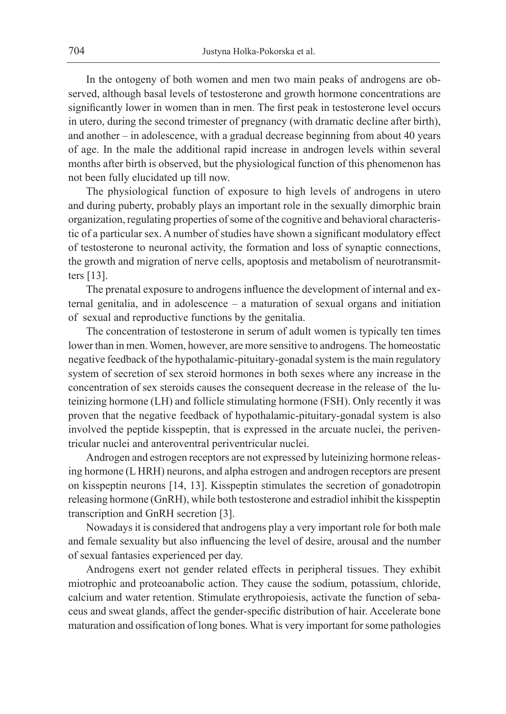In the ontogeny of both women and men two main peaks of androgens are observed, although basal levels of testosterone and growth hormone concentrations are significantly lower in women than in men. The first peak in testosterone level occurs in utero, during the second trimester of pregnancy (with dramatic decline after birth), and another – in adolescence, with a gradual decrease beginning from about 40 years of age. In the male the additional rapid increase in androgen levels within several months after birth is observed, but the physiological function of this phenomenon has not been fully elucidated up till now.

The physiological function of exposure to high levels of androgens in utero and during puberty, probably plays an important role in the sexually dimorphic brain organization, regulating properties of some of the cognitive and behavioral characteristic of a particular sex. A number of studies have shown a significant modulatory effect of testosterone to neuronal activity, the formation and loss of synaptic connections, the growth and migration of nerve cells, apoptosis and metabolism of neurotransmitters [13].

The prenatal exposure to androgens influence the development of internal and external genitalia, and in adolescence – a maturation of sexual organs and initiation of sexual and reproductive functions by the genitalia.

The concentration of testosterone in serum of adult women is typically ten times lower than in men. Women, however, are more sensitive to androgens. The homeostatic negative feedback of the hypothalamic-pituitary-gonadal system is the main regulatory system of secretion of sex steroid hormones in both sexes where any increase in the concentration of sex steroids causes the consequent decrease in the release of the luteinizing hormone (LH) and follicle stimulating hormone (FSH). Only recently it was proven that the negative feedback of hypothalamic-pituitary-gonadal system is also involved the peptide kisspeptin, that is expressed in the arcuate nuclei, the periventricular nuclei and anteroventral periventricular nuclei.

Androgen and estrogen receptors are not expressed by luteinizing hormone releasing hormone (L HRH) neurons, and alpha estrogen and androgen receptors are present on kisspeptin neurons [14, 13]. Kisspeptin stimulates the secretion of gonadotropin releasing hormone (GnRH), while both testosterone and estradiol inhibit the kisspeptin transcription and GnRH secretion [3].

Nowadays it is considered that androgens play a very important role for both male and female sexuality but also influencing the level of desire, arousal and the number of sexual fantasies experienced per day.

Androgens exert not gender related effects in peripheral tissues. They exhibit miotrophic and proteoanabolic action. They cause the sodium, potassium, chloride, calcium and water retention. Stimulate erythropoiesis, activate the function of sebaceus and sweat glands, affect the gender-specific distribution of hair. Accelerate bone maturation and ossification of long bones. What is very important for some pathologies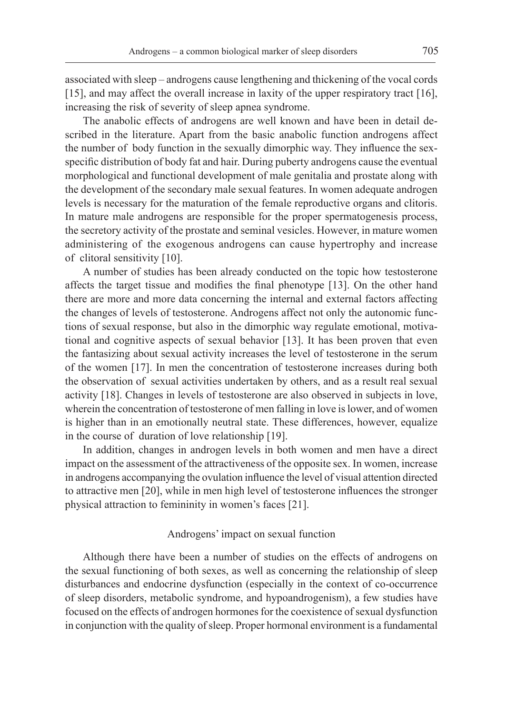associated with sleep – androgens cause lengthening and thickening of the vocal cords [15], and may affect the overall increase in laxity of the upper respiratory tract [16], increasing the risk of severity of sleep apnea syndrome.

The anabolic effects of androgens are well known and have been in detail described in the literature. Apart from the basic anabolic function androgens affect the number of body function in the sexually dimorphic way. They influence the sexspecific distribution of body fat and hair. During puberty androgens cause the eventual morphological and functional development of male genitalia and prostate along with the development of the secondary male sexual features. In women adequate androgen levels is necessary for the maturation of the female reproductive organs and clitoris. In mature male androgens are responsible for the proper spermatogenesis process, the secretory activity of the prostate and seminal vesicles. However, in mature women administering of the exogenous androgens can cause hypertrophy and increase of clitoral sensitivity [10].

A number of studies has been already conducted on the topic how testosterone affects the target tissue and modifies the final phenotype [13]. On the other hand there are more and more data concerning the internal and external factors affecting the changes of levels of testosterone. Androgens affect not only the autonomic functions of sexual response, but also in the dimorphic way regulate emotional, motivational and cognitive aspects of sexual behavior [13]. It has been proven that even the fantasizing about sexual activity increases the level of testosterone in the serum of the women [17]. In men the concentration of testosterone increases during both the observation of sexual activities undertaken by others, and as a result real sexual activity [18]. Changes in levels of testosterone are also observed in subjects in love, wherein the concentration of testosterone of men falling in love is lower, and of women is higher than in an emotionally neutral state. These differences, however, equalize in the course of duration of love relationship [19].

In addition, changes in androgen levels in both women and men have a direct impact on the assessment of the attractiveness of the opposite sex. In women, increase in androgens accompanying the ovulation influence the level of visual attention directed to attractive men [20], while in men high level of testosterone influences the stronger physical attraction to femininity in women's faces [21].

## Androgens' impact on sexual function

Although there have been a number of studies on the effects of androgens on the sexual functioning of both sexes, as well as concerning the relationship of sleep disturbances and endocrine dysfunction (especially in the context of co-occurrence of sleep disorders, metabolic syndrome, and hypoandrogenism), a few studies have focused on the effects of androgen hormones for the coexistence of sexual dysfunction in conjunction with the quality of sleep. Proper hormonal environment is a fundamental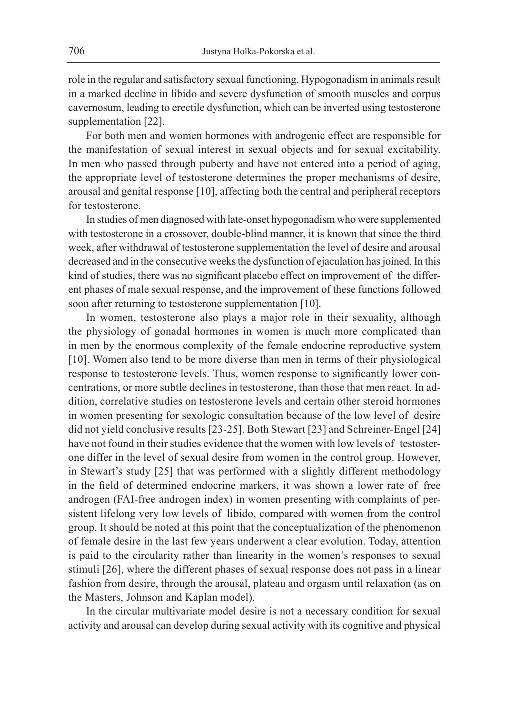role in the regular and satisfactory sexual functioning. Hypogonadism in animals result in a marked decline in libido and severe dysfunction of smooth muscles and corpus cavernosum, leading to erectile dysfunction, which can be inverted using testosterone supplementation [22].

For both men and women hormones with androgenic effect are responsible for the manifestation of sexual interest in sexual objects and for sexual excitability. In men who passed through puberty and have not entered into a period of aging, the appropriate level of testosterone determines the proper mechanisms of desire, arousal and genital response [10], affecting both the central and peripheral receptors for testosterone.

In studies of men diagnosed with late-onset hypogonadism who were supplemented with testosterone in a crossover, double-blind manner, it is known that since the third week, after withdrawal of testosterone supplementation the level of desire and arousal decreased and in the consecutive weeks the dysfunction of ejaculation has joined. In this kind of studies, there was no significant placebo effect on improvement of the different phases of male sexual response, and the improvement of these functions followed soon after returning to testosterone supplementation [10].

In women, testosterone also plays a major role in their sexuality, although the physiology of gonadal hormones in women is much more complicated than in men by the enormous complexity of the female endocrine reproductive system [10]. Women also tend to be more diverse than men in terms of their physiological response to testosterone levels. Thus, women response to significantly lower concentrations, or more subtle declines in testosterone, than those that men react. In addition, correlative studies on testosterone levels and certain other steroid hormones in women presenting for sexologic consultation because of the low level of desire did not yield conclusive results [23-25]. Both Stewart [23] and Schreiner-Engel [24] have not found in their studies evidence that the women with low levels of testosterone differ in the level of sexual desire from women in the control group. However, in Stewart's study [25] that was performed with a slightly different methodology in the field of determined endocrine markers, it was shown a lower rate of free androgen (FAI-free androgen index) in women presenting with complaints of persistent lifelong very low levels of libido, compared with women from the control group. It should be noted at this point that the conceptualization of the phenomenon of female desire in the last few years underwent a clear evolution. Today, attention is paid to the circularity rather than linearity in the women's responses to sexual stimuli [26], where the different phases of sexual response does not pass in a linear fashion from desire, through the arousal, plateau and orgasm until relaxation (as on the Masters, Johnson and Kaplan model).

In the circular multivariate model desire is not a necessary condition for sexual activity and arousal can develop during sexual activity with its cognitive and physical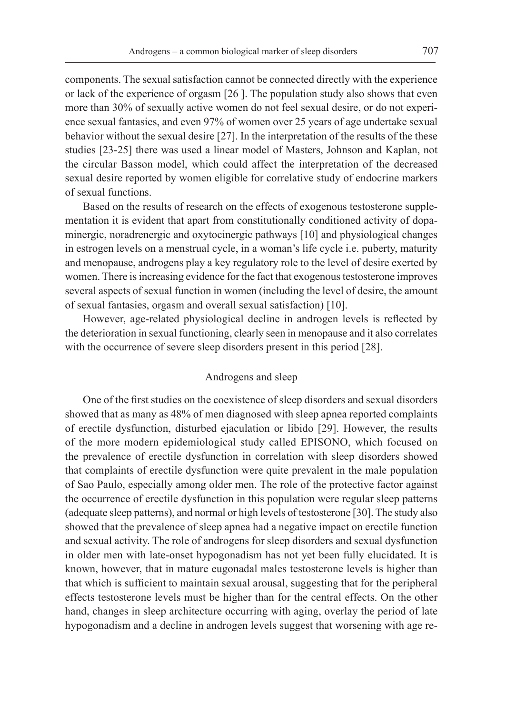components. The sexual satisfaction cannot be connected directly with the experience or lack of the experience of orgasm [26 ]. The population study also shows that even more than 30% of sexually active women do not feel sexual desire, or do not experience sexual fantasies, and even 97% of women over 25 years of age undertake sexual behavior without the sexual desire [27]. In the interpretation of the results of the these studies [23-25] there was used a linear model of Masters, Johnson and Kaplan, not the circular Basson model, which could affect the interpretation of the decreased sexual desire reported by women eligible for correlative study of endocrine markers of sexual functions.

Based on the results of research on the effects of exogenous testosterone supplementation it is evident that apart from constitutionally conditioned activity of dopaminergic, noradrenergic and oxytocinergic pathways [10] and physiological changes in estrogen levels on a menstrual cycle, in a woman's life cycle i.e. puberty, maturity and menopause, androgens play a key regulatory role to the level of desire exerted by women. There is increasing evidence for the fact that exogenous testosterone improves several aspects of sexual function in women (including the level of desire, the amount of sexual fantasies, orgasm and overall sexual satisfaction) [10].

However, age-related physiological decline in androgen levels is reflected by the deterioration in sexual functioning, clearly seen in menopause and it also correlates with the occurrence of severe sleep disorders present in this period [28].

# Androgens and sleep

One of the first studies on the coexistence of sleep disorders and sexual disorders showed that as many as 48% of men diagnosed with sleep apnea reported complaints of erectile dysfunction, disturbed ejaculation or libido [29]. However, the results of the more modern epidemiological study called EPISONO, which focused on the prevalence of erectile dysfunction in correlation with sleep disorders showed that complaints of erectile dysfunction were quite prevalent in the male population of Sao Paulo, especially among older men. The role of the protective factor against the occurrence of erectile dysfunction in this population were regular sleep patterns (adequate sleep patterns), and normal or high levels of testosterone [30]. The study also showed that the prevalence of sleep apnea had a negative impact on erectile function and sexual activity. The role of androgens for sleep disorders and sexual dysfunction in older men with late-onset hypogonadism has not yet been fully elucidated. It is known, however, that in mature eugonadal males testosterone levels is higher than that which is sufficient to maintain sexual arousal, suggesting that for the peripheral effects testosterone levels must be higher than for the central effects. On the other hand, changes in sleep architecture occurring with aging, overlay the period of late hypogonadism and a decline in androgen levels suggest that worsening with age re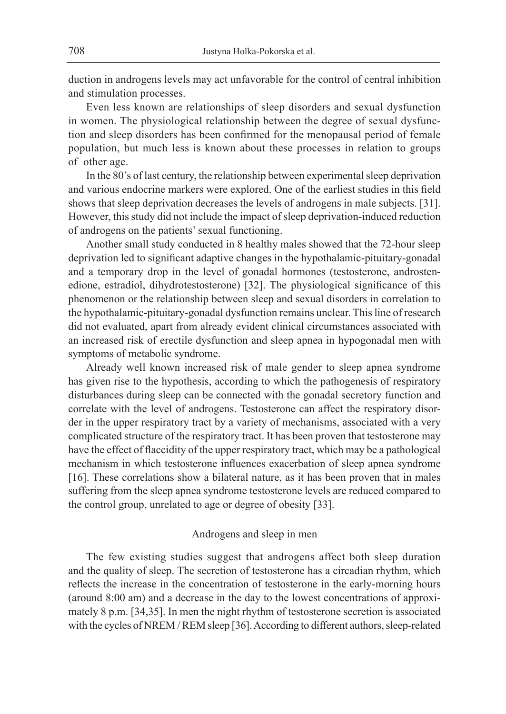duction in androgens levels may act unfavorable for the control of central inhibition and stimulation processes.

Even less known are relationships of sleep disorders and sexual dysfunction in women. The physiological relationship between the degree of sexual dysfunction and sleep disorders has been confirmed for the menopausal period of female population, but much less is known about these processes in relation to groups of other age.

In the 80's of last century, the relationship between experimental sleep deprivation and various endocrine markers were explored. One of the earliest studies in this field shows that sleep deprivation decreases the levels of androgens in male subjects. [31]. However, this study did not include the impact of sleep deprivation-induced reduction of androgens on the patients' sexual functioning.

Another small study conducted in 8 healthy males showed that the 72-hour sleep deprivation led to significant adaptive changes in the hypothalamic-pituitary-gonadal and a temporary drop in the level of gonadal hormones (testosterone, androstenedione, estradiol, dihydrotestosterone) [32]. The physiological significance of this phenomenon or the relationship between sleep and sexual disorders in correlation to the hypothalamic-pituitary-gonadal dysfunction remains unclear. This line of research did not evaluated, apart from already evident clinical circumstances associated with an increased risk of erectile dysfunction and sleep apnea in hypogonadal men with symptoms of metabolic syndrome.

Already well known increased risk of male gender to sleep apnea syndrome has given rise to the hypothesis, according to which the pathogenesis of respiratory disturbances during sleep can be connected with the gonadal secretory function and correlate with the level of androgens. Testosterone can affect the respiratory disorder in the upper respiratory tract by a variety of mechanisms, associated with a very complicated structure of the respiratory tract. It has been proven that testosterone may have the effect of flaccidity of the upper respiratory tract, which may be a pathological mechanism in which testosterone influences exacerbation of sleep apnea syndrome [16]. These correlations show a bilateral nature, as it has been proven that in males suffering from the sleep apnea syndrome testosterone levels are reduced compared to the control group, unrelated to age or degree of obesity [33].

## Androgens and sleep in men

The few existing studies suggest that androgens affect both sleep duration and the quality of sleep. The secretion of testosterone has a circadian rhythm, which reflects the increase in the concentration of testosterone in the early-morning hours (around 8:00 am) and a decrease in the day to the lowest concentrations of approximately 8 p.m. [34,35]. In men the night rhythm of testosterone secretion is associated with the cycles of NREM / REM sleep [36]. According to different authors, sleep-related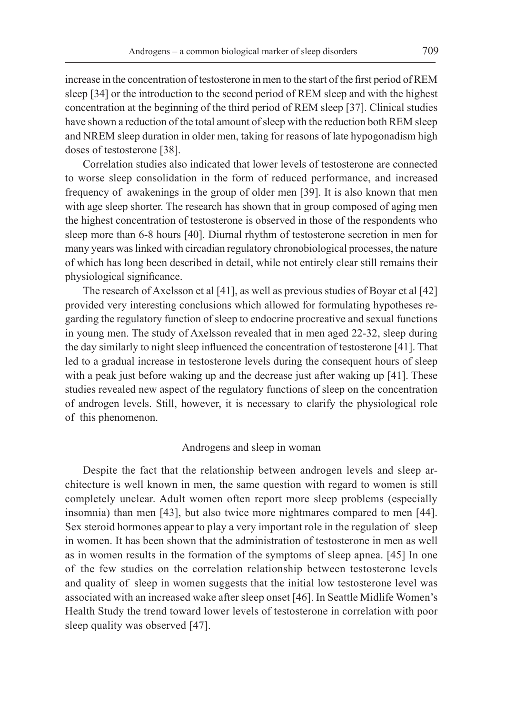increase in the concentration of testosterone in men to the start of the first period of REM sleep [34] or the introduction to the second period of REM sleep and with the highest concentration at the beginning of the third period of REM sleep [37]. Clinical studies have shown a reduction of the total amount of sleep with the reduction both REM sleep and NREM sleep duration in older men, taking for reasons of late hypogonadism high doses of testosterone [38].

Correlation studies also indicated that lower levels of testosterone are connected to worse sleep consolidation in the form of reduced performance, and increased frequency of awakenings in the group of older men [39]. It is also known that men with age sleep shorter. The research has shown that in group composed of aging men the highest concentration of testosterone is observed in those of the respondents who sleep more than 6-8 hours [40]. Diurnal rhythm of testosterone secretion in men for many years was linked with circadian regulatory chronobiological processes, the nature of which has long been described in detail, while not entirely clear still remains their physiological significance.

The research of Axelsson et al [41], as well as previous studies of Boyar et al [42] provided very interesting conclusions which allowed for formulating hypotheses regarding the regulatory function of sleep to endocrine procreative and sexual functions in young men. The study of Axelsson revealed that in men aged 22-32, sleep during the day similarly to night sleep influenced the concentration of testosterone [41]. That led to a gradual increase in testosterone levels during the consequent hours of sleep with a peak just before waking up and the decrease just after waking up [41]. These studies revealed new aspect of the regulatory functions of sleep on the concentration of androgen levels. Still, however, it is necessary to clarify the physiological role of this phenomenon.

## Androgens and sleep in woman

Despite the fact that the relationship between androgen levels and sleep architecture is well known in men, the same question with regard to women is still completely unclear. Adult women often report more sleep problems (especially insomnia) than men [43], but also twice more nightmares compared to men [44]. Sex steroid hormones appear to play a very important role in the regulation of sleep in women. It has been shown that the administration of testosterone in men as well as in women results in the formation of the symptoms of sleep apnea. [45] In one of the few studies on the correlation relationship between testosterone levels and quality of sleep in women suggests that the initial low testosterone level was associated with an increased wake after sleep onset [46]. In Seattle Midlife Women's Health Study the trend toward lower levels of testosterone in correlation with poor sleep quality was observed [47].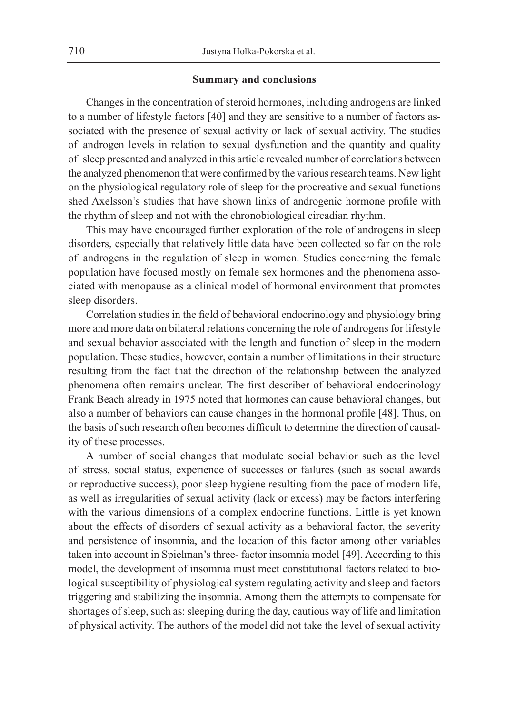## **Summary and conclusions**

Changes in the concentration of steroid hormones, including androgens are linked to a number of lifestyle factors [40] and they are sensitive to a number of factors associated with the presence of sexual activity or lack of sexual activity. The studies of androgen levels in relation to sexual dysfunction and the quantity and quality of sleep presented and analyzed in this article revealed number of correlations between the analyzed phenomenon that were confirmed by the various research teams. New light on the physiological regulatory role of sleep for the procreative and sexual functions shed Axelsson's studies that have shown links of androgenic hormone profile with the rhythm of sleep and not with the chronobiological circadian rhythm.

This may have encouraged further exploration of the role of androgens in sleep disorders, especially that relatively little data have been collected so far on the role of androgens in the regulation of sleep in women. Studies concerning the female population have focused mostly on female sex hormones and the phenomena associated with menopause as a clinical model of hormonal environment that promotes sleep disorders.

Correlation studies in the field of behavioral endocrinology and physiology bring more and more data on bilateral relations concerning the role of androgens for lifestyle and sexual behavior associated with the length and function of sleep in the modern population. These studies, however, contain a number of limitations in their structure resulting from the fact that the direction of the relationship between the analyzed phenomena often remains unclear. The first describer of behavioral endocrinology Frank Beach already in 1975 noted that hormones can cause behavioral changes, but also a number of behaviors can cause changes in the hormonal profile [48]. Thus, on the basis of such research often becomes difficult to determine the direction of causality of these processes.

A number of social changes that modulate social behavior such as the level of stress, social status, experience of successes or failures (such as social awards or reproductive success), poor sleep hygiene resulting from the pace of modern life, as well as irregularities of sexual activity (lack or excess) may be factors interfering with the various dimensions of a complex endocrine functions. Little is yet known about the effects of disorders of sexual activity as a behavioral factor, the severity and persistence of insomnia, and the location of this factor among other variables taken into account in Spielman's three- factor insomnia model [49]. According to this model, the development of insomnia must meet constitutional factors related to biological susceptibility of physiological system regulating activity and sleep and factors triggering and stabilizing the insomnia. Among them the attempts to compensate for shortages of sleep, such as: sleeping during the day, cautious way of life and limitation of physical activity. The authors of the model did not take the level of sexual activity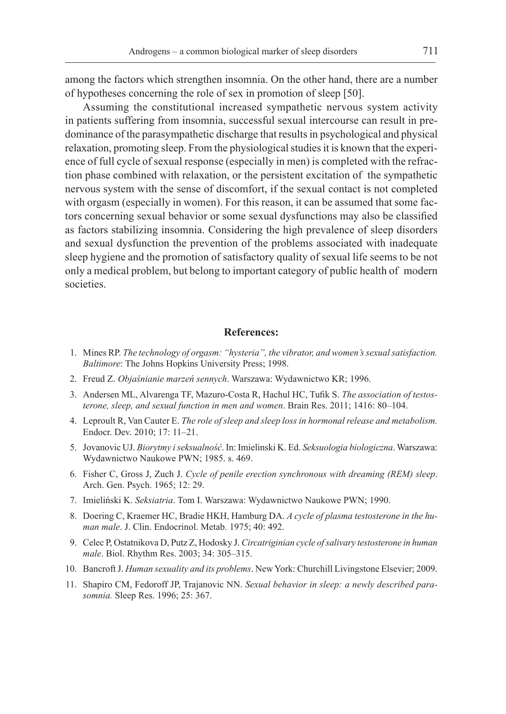among the factors which strengthen insomnia. On the other hand, there are a number of hypotheses concerning the role of sex in promotion of sleep [50].

Assuming the constitutional increased sympathetic nervous system activity in patients suffering from insomnia, successful sexual intercourse can result in predominance of the parasympathetic discharge that results in psychological and physical relaxation, promoting sleep. From the physiological studies it is known that the experience of full cycle of sexual response (especially in men) is completed with the refraction phase combined with relaxation, or the persistent excitation of the sympathetic nervous system with the sense of discomfort, if the sexual contact is not completed with orgasm (especially in women). For this reason, it can be assumed that some factors concerning sexual behavior or some sexual dysfunctions may also be classified as factors stabilizing insomnia. Considering the high prevalence of sleep disorders and sexual dysfunction the prevention of the problems associated with inadequate sleep hygiene and the promotion of satisfactory quality of sexual life seems to be not only a medical problem, but belong to important category of public health of modern societies.

## **References:**

- 1. Mines RP. *The technology of orgasm: "hysteria", the vibrator, and women's sexual satisfaction. Baltimore*: The Johns Hopkins University Press; 1998.
- 2. Freud Z. *Objaśnianie marzeń sennych*. Warszawa: Wydawnictwo KR; 1996.
- 3. Andersen ML, Alvarenga TF, Mazuro-Costa R, Hachul HC, Tufik S. *The association of testosterone, sleep, and sexual function in men and women*. Brain Res. 2011; 1416: 80–104.
- 4. Leproult R, Van Cauter E. *The role of sleep and sleep loss in hormonal release and metabolism.* Endocr. Dev. 2010; 17: 11–21.
- 5. Jovanovic UJ. *Biorytmy i seksualność*. In: Imielinski K. Ed. *Seksuologia biologiczna*. Warszawa: Wydawnictwo Naukowe PWN; 1985. s. 469.
- 6. Fisher C, Gross J, Zuch J. *Cycle of penile erection synchronous with dreaming (REM) sleep*. Arch. Gen. Psych. 1965; 12: 29.
- 7. Imieliński K. *Seksiatria*. Tom I. Warszawa: Wydawnictwo Naukowe PWN; 1990.
- 8. Doering C, Kraemer HC, Bradie HKH, Hamburg DA. *A cycle of plasma testosterone in the human male*. J. Clin. Endocrinol. Metab. 1975; 40: 492.
- 9. Celec P, Ostatnikova D, Putz Z, Hodosky J. *Circatriginian cycle of salivary testosterone in human male*. Biol. Rhythm Res. 2003; 34: 305–315.
- 10. Bancroft J. *Human sexuality and its problems*. New York: Churchill Livingstone Elsevier; 2009.
- 11. Shapiro CM, Fedoroff JP, Trajanovic NN. *Sexual behavior in sleep: a newly described parasomnia.* Sleep Res. 1996; 25: 367.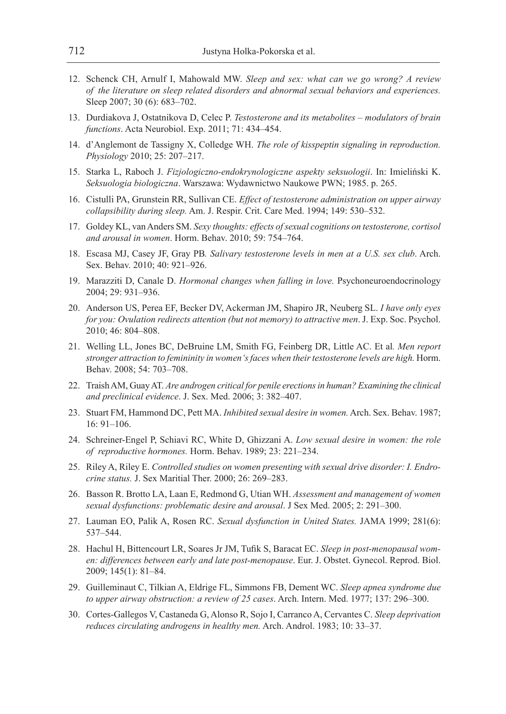- 12. Schenck CH, Arnulf I, Mahowald MW. *Sleep and sex: what can we go wrong? A review of the literature on sleep related disorders and abnormal sexual behaviors and experiences.* Sleep 2007; 30 (6): 683-702.
- 13. Durdiakova J, Ostatnikova D, Celec P. *Testosterone and its metabolites modulators of brain functions*. Acta Neurobiol. Exp. 2011; 71: 434–454.
- 14. d'Anglemont de Tassigny X, Colledge WH. *The role of kisspeptin signaling in reproduction. Physiology* 2010; 25: 207–217.
- 15. Starka L, Raboch J. *Fizjologiczno-endokrynologiczne aspekty seksuologii*. In: Imieliński K. *Seksuologia biologiczna*. Warszawa: Wydawnictwo Naukowe PWN; 1985. p. 265.
- 16. Cistulli PA, Grunstein RR, Sullivan CE. *Effect of testosterone administration on upper airway collapsibility during sleep.* Am. J. Respir. Crit. Care Med. 1994; 149: 530–532.
- 17. Goldey KL, van Anders SM. *Sexy thoughts: effects of sexual cognitions on testosterone, cortisol and arousal in women*. Horm. Behav. 2010; 59: 754–764.
- 18. Escasa MJ, Casey JF, Gray PB*. Salivary testosterone levels in men at a U.S. sex club*. Arch. Sex. Behav. 2010; 40: 921–926.
- 19. Marazziti D, Canale D. *Hormonal changes when falling in love.* Psychoneuroendocrinology 2004; 29: 931–936.
- 20. Anderson US, Perea EF, Becker DV, Ackerman JM, Shapiro JR, Neuberg SL. *I have only eyes for you: Ovulation redirects attention (but not memory) to attractive men*. J. Exp. Soc. Psychol. 2010; 46: 804–808.
- 21. Welling LL, Jones BC, DeBruine LM, Smith FG, Feinberg DR, Little AC. Et al*. Men report stronger attraction to femininity in women's faces when their testosterone levels are high.* Horm. Behav. 2008; 54: 703–708.
- 22. Traish AM, Guay AT. *Are androgen critical for penile erections in human? Examining the clinical and preclinical evidence*. J. Sex. Med. 2006; 3: 382–407.
- 23. Stuart FM, Hammond DC, Pett MA. *Inhibited sexual desire in women.* Arch. Sex. Behav. 1987; 16: 91–106.
- 24. Schreiner-Engel P, Schiavi RC, White D, Ghizzani A. *Low sexual desire in women: the role of reproductive hormones.* Horm. Behav. 1989; 23: 221–234.
- 25. Riley A, Riley E. *Controlled studies on women presenting with sexual drive disorder: I. Endrocrine status.* J. Sex Maritial Ther. 2000; 26: 269–283.
- 26. Basson R. Brotto LA, Laan E, Redmond G, Utian WH. *Assessment and management of women sexual dysfunctions: problematic desire and arousal*. J Sex Med. 2005; 2: 291–300.
- 27. Lauman EO, Palik A, Rosen RC. *Sexual dysfunction in United States.* JAMA 1999; 281(6): 537–544.
- 28. Hachul H, Bittencourt LR, Soares Jr JM, Tufik S, Baracat EC. *Sleep in post-menopausal women: differences between early and late post-menopause*. Eur. J. Obstet. Gynecol. Reprod. Biol. 2009; 145(1): 81–84.
- 29. Guilleminaut C, Tilkian A, Eldrige FL, Simmons FB, Dement WC. *Sleep apnea syndrome due to upper airway obstruction: a review of 25 cases*. Arch. Intern. Med. 1977; 137: 296–300.
- 30. Cortes-Gallegos V, Castaneda G, Alonso R, Sojo I, Carranco A, Cervantes C. *Sleep deprivation reduces circulating androgens in healthy men.* Arch. Androl. 1983; 10: 33–37.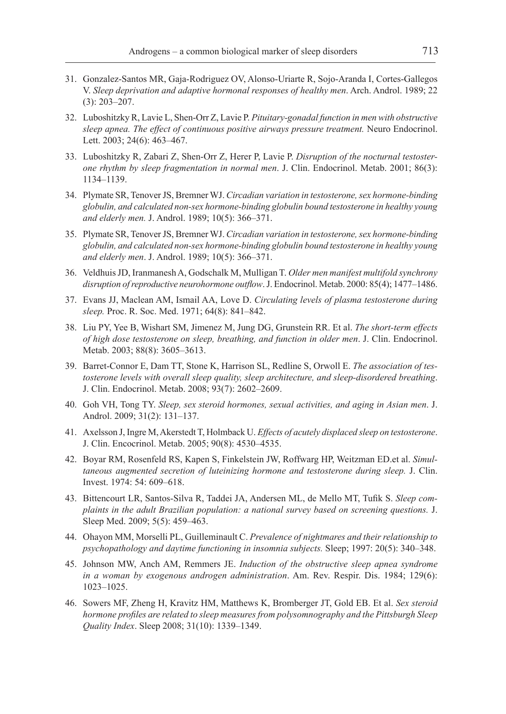- 31. Gonzalez-Santos MR, Gaja-Rodriguez OV, Alonso-Uriarte R, Sojo-Aranda I, Cortes-Gallegos V. *Sleep deprivation and adaptive hormonal responses of healthy men*. Arch. Androl. 1989; 22 (3): 203–207.
- 32. Luboshitzky R, Lavie L, Shen-Orr Z, Lavie P. *Pituitary-gonadal function in men with obstructive sleep apnea. The effect of continuous positive airways pressure treatment.* Neuro Endocrinol. Lett. 2003; 24(6): 463–467.
- 33. Luboshitzky R, Zabari Z, Shen-Orr Z, Herer P, Lavie P. *Disruption of the nocturnal testosterone rhythm by sleep fragmentation in normal men*. J. Clin. Endocrinol. Metab. 2001; 86(3): 1134–1139.
- 34. Plymate SR, Tenover JS, Bremner WJ. *Circadian variation in testosterone, sex hormone-binding globulin, and calculated non-sex hormone-binding globulin bound testosterone in healthy young and elderly men.* J. Androl. 1989; 10(5): 366–371.
- 35. Plymate SR, Tenover JS, Bremner WJ. *Circadian variation in testosterone, sex hormone-binding globulin, and calculated non-sex hormone-binding globulin bound testosterone in healthy young and elderly men*. J. Androl. 1989; 10(5): 366–371.
- 36. Veldhuis JD, Iranmanesh A, Godschalk M, Mulligan T. *Older men manifest multifold synchrony disruption of reproductive neurohormone outflow*. J. Endocrinol. Metab. 2000: 85(4); 1477–1486.
- 37. Evans JJ, Maclean AM, Ismail AA, Love D. *Circulating levels of plasma testosterone during sleep.* Proc. R. Soc. Med. 1971; 64(8): 841–842.
- 38. Liu PY, Yee B, Wishart SM, Jimenez M, Jung DG, Grunstein RR. Et al. *The short-term effects of high dose testosterone on sleep, breathing, and function in older men*. J. Clin. Endocrinol. Metab. 2003; 88(8): 3605–3613.
- 39. Barret-Connor E, Dam TT, Stone K, Harrison SL, Redline S, Orwoll E. *The association of testosterone levels with overall sleep quality, sleep architecture, and sleep-disordered breathing*. J. Clin. Endocrinol. Metab. 2008; 93(7): 2602–2609.
- 40. Goh VH, Tong TY. *Sleep, sex steroid hormones, sexual activities, and aging in Asian men*. J. Androl. 2009; 31(2): 131–137.
- 41. Axelsson J, Ingre M, Akerstedt T, Holmback U. *Effects of acutely displaced sleep on testosterone*. J. Clin. Encocrinol. Metab. 2005; 90(8): 4530–4535.
- 42. Boyar RM, Rosenfeld RS, Kapen S, Finkelstein JW, Roffwarg HP, Weitzman ED.et al. *Simultaneous augmented secretion of luteinizing hormone and testosterone during sleep.* J. Clin. Invest. 1974: 54: 609–618.
- 43. Bittencourt LR, Santos-Silva R, Taddei JA, Andersen ML, de Mello MT, Tufik S. *Sleep complaints in the adult Brazilian population: a national survey based on screening questions.* J. Sleep Med. 2009; 5(5): 459–463.
- 44. Ohayon MM, Morselli PL, Guilleminault C. *Prevalence of nightmares and their relationship to psychopathology and daytime functioning in insomnia subjects.* Sleep; 1997: 20(5): 340–348.
- 45. Johnson MW, Anch AM, Remmers JE. *Induction of the obstructive sleep apnea syndrome in a woman by exogenous androgen administration*. Am. Rev. Respir. Dis. 1984; 129(6): 1023–1025.
- 46. Sowers MF, Zheng H, Kravitz HM, Matthews K, Bromberger JT, Gold EB. Et al. *Sex steroid hormone profiles are related to sleep measures from polysomnography and the Pittsburgh Sleep Quality Index*. Sleep 2008; 31(10): 1339–1349.